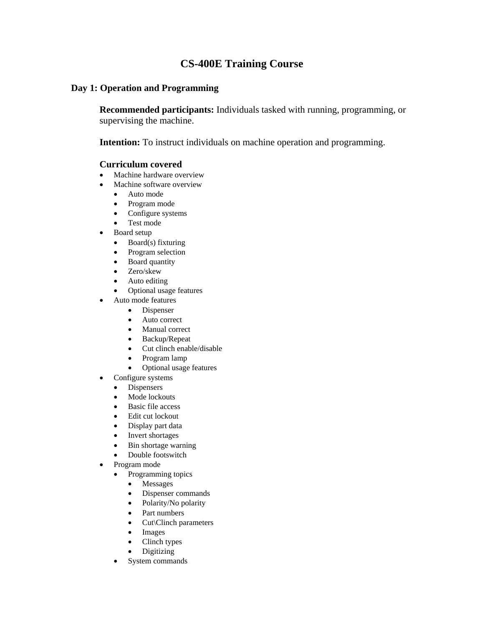# **CS-400E Training Course**

# **Day 1: Operation and Programming**

 **Recommended participants:** Individuals tasked with running, programming, or supervising the machine.

**Intention:** To instruct individuals on machine operation and programming.

## **Curriculum covered**

- Machine hardware overview
- Machine software overview
	- Auto mode
	- Program mode
	- Configure systems
	- Test mode
- Board setup
	- Board(s) fixturing
	- Program selection
	- Board quantity
	- Zero/skew
	- Auto editing
	- Optional usage features
- Auto mode features
	- Dispenser
	- Auto correct
	- Manual correct
	- Backup/Repeat
	- Cut clinch enable/disable
	- Program lamp
	- Optional usage features
- Configure systems
	- Dispensers
	- Mode lockouts
	- Basic file access
	- Edit cut lockout
	- Display part data
	- Invert shortages
	- Bin shortage warning
	- Double footswitch
- Program mode
	- Programming topics
		- Messages
		- Dispenser commands
		- Polarity/No polarity
		- Part numbers
		- Cut\Clinch parameters
		- **Images**
		- Clinch types
		- Digitizing
	- System commands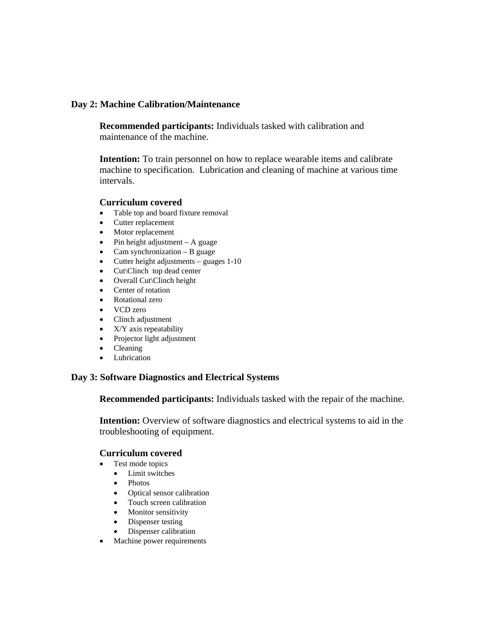# **Day 2: Machine Calibration/Maintenance**

**Recommended participants:** Individuals tasked with calibration and maintenance of the machine.

**Intention:** To train personnel on how to replace wearable items and calibrate machine to specification. Lubrication and cleaning of machine at various time intervals.

## **Curriculum covered**

- Table top and board fixture removal
- Cutter replacement
- Motor replacement
- Pin height adjustment A guage
- Cam synchronization B guage
- Cutter height adjustments guages 1-10
- Cut\Clinch top dead center
- Overall Cut\Clinch height
- Center of rotation
- Rotational zero
- VCD zero
- Clinch adjustment
- X/Y axis repeatability
- Projector light adjustment
- Cleaning
- Lubrication

#### **Day 3: Software Diagnostics and Electrical Systems**

 **Recommended participants:** Individuals tasked with the repair of the machine.

**Intention:** Overview of software diagnostics and electrical systems to aid in the troubleshooting of equipment.

#### **Curriculum covered**

- Test mode topics
	- Limit switches
	- Photos<br>• Optical
	- Optical sensor calibration
	- Touch screen calibration
	- Monitor sensitivity
	- Dispenser testing
	- Dispenser calibration
- Machine power requirements